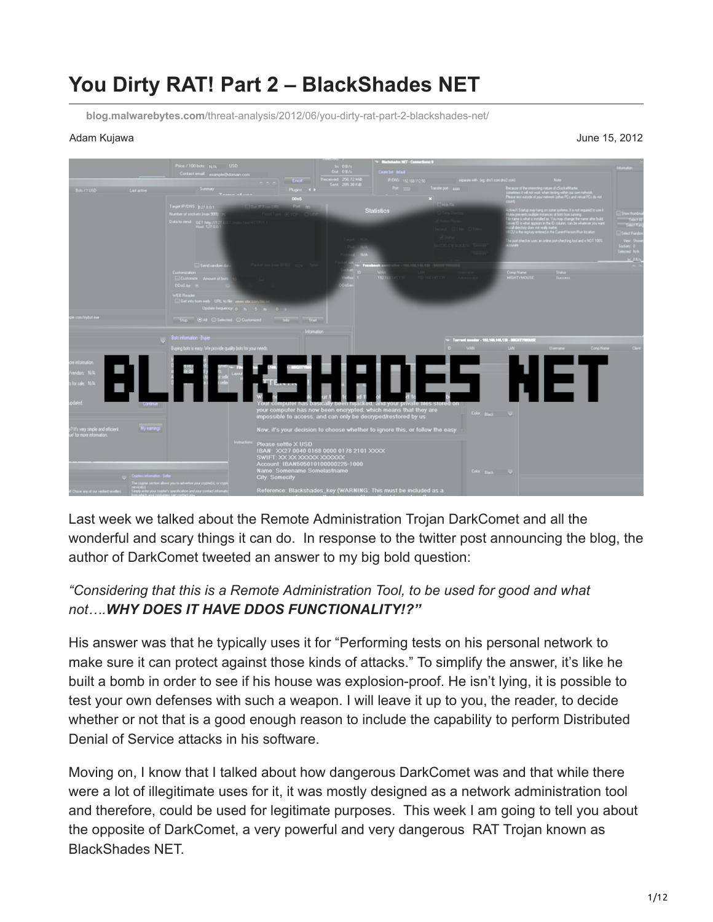# **You Dirty RAT! Part 2 – BlackShades NET**

**blog.malwarebytes.com**[/threat-analysis/2012/06/you-dirty-rat-part-2-blackshades-net/](https://blog.malwarebytes.com/threat-analysis/2012/06/you-dirty-rat-part-2-blackshades-net/)

Adam Kujawa June 15, 2012



Last week we talked about the Remote Administration Trojan DarkComet and all the wonderful and scary things it can do. In response to the twitter post announcing the blog, the author of DarkComet tweeted an answer to my big bold question:

# *"Considering that this is a Remote Administration Tool, to be used for good and what not….WHY DOES IT HAVE DDOS FUNCTIONALITY!?"*

His answer was that he typically uses it for "Performing tests on his personal network to make sure it can protect against those kinds of attacks." To simplify the answer, it's like he built a bomb in order to see if his house was explosion-proof. He isn't lying, it is possible to test your own defenses with such a weapon. I will leave it up to you, the reader, to decide whether or not that is a good enough reason to include the capability to perform Distributed Denial of Service attacks in his software.

Moving on, I know that I talked about how dangerous DarkComet was and that while there were a lot of illegitimate uses for it, it was mostly designed as a network administration tool and therefore, could be used for legitimate purposes. This week I am going to tell you about the opposite of DarkComet, a very powerful and very dangerous RAT Trojan known as BlackShades NET.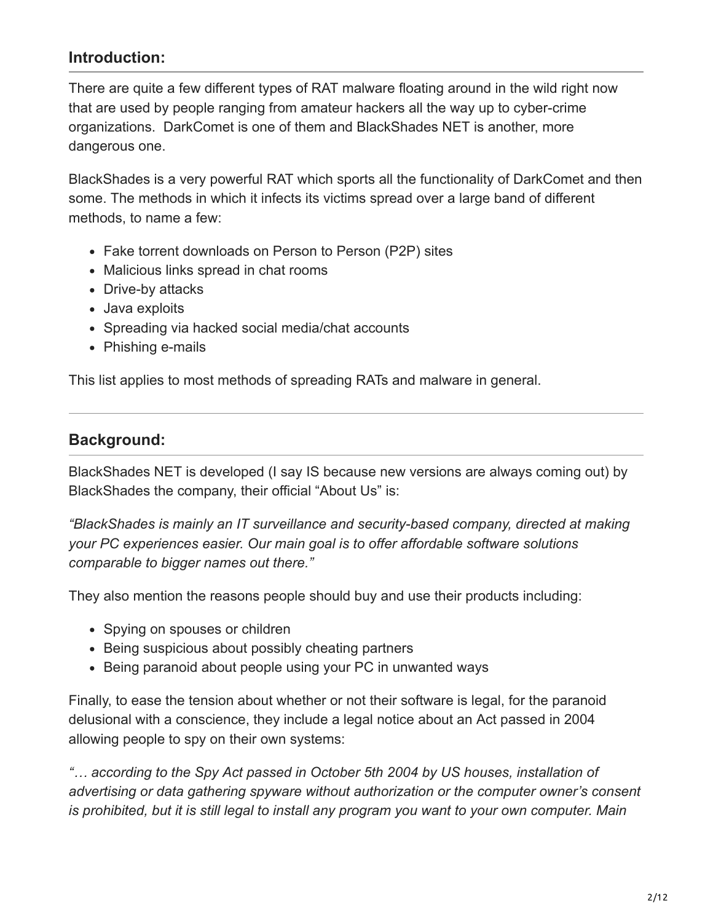# **Introduction:**

There are quite a few different types of RAT malware floating around in the wild right now that are used by people ranging from amateur hackers all the way up to cyber-crime organizations. DarkComet is one of them and BlackShades NET is another, more dangerous one.

BlackShades is a very powerful RAT which sports all the functionality of DarkComet and then some. The methods in which it infects its victims spread over a large band of different methods, to name a few:

- Fake torrent downloads on Person to Person (P2P) sites
- Malicious links spread in chat rooms
- Drive-by attacks
- Java exploits
- Spreading via hacked social media/chat accounts
- Phishing e-mails

This list applies to most methods of spreading RATs and malware in general.

### **Background:**

BlackShades NET is developed (I say IS because new versions are always coming out) by BlackShades the company, their official "About Us" is:

*"BlackShades is mainly an IT surveillance and security-based company, directed at making your PC experiences easier. Our main goal is to offer affordable software solutions comparable to bigger names out there."*

They also mention the reasons people should buy and use their products including:

- Spying on spouses or children
- Being suspicious about possibly cheating partners
- Being paranoid about people using your PC in unwanted ways

Finally, to ease the tension about whether or not their software is legal, for the paranoid delusional with a conscience, they include a legal notice about an Act passed in 2004 allowing people to spy on their own systems:

*"… according to the Spy Act passed in October 5th 2004 by US houses, installation of advertising or data gathering spyware without authorization or the computer owner's consent is prohibited, but it is still legal to install any program you want to your own computer. Main*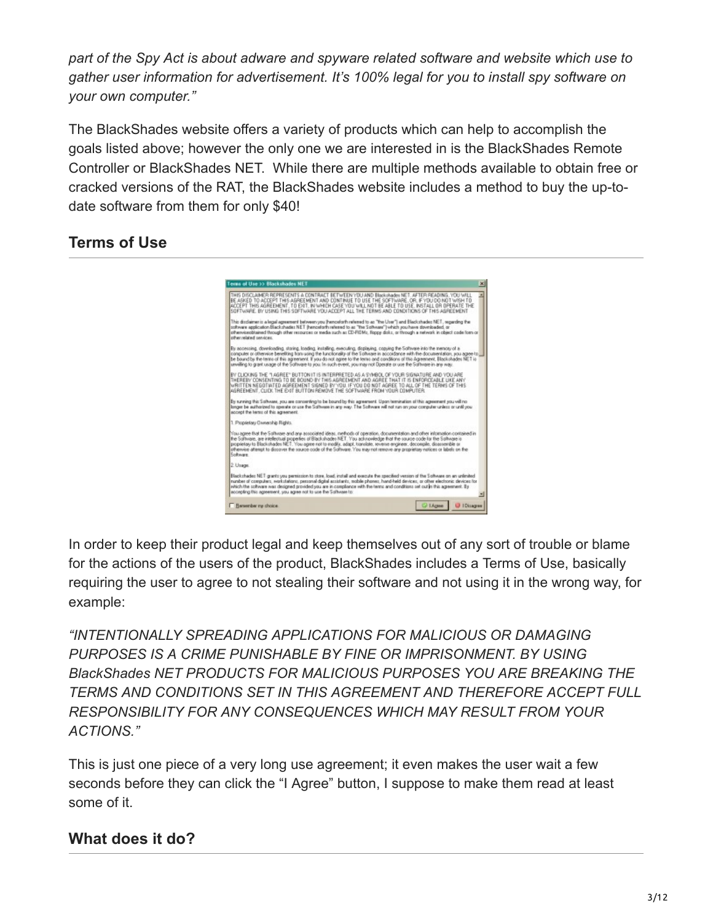*part of the Spy Act is about adware and spyware related software and website which use to gather user information for advertisement. It's 100% legal for you to install spy software on your own computer."*

The BlackShades website offers a variety of products which can help to accomplish the goals listed above; however the only one we are interested in is the BlackShades Remote Controller or BlackShades NET. While there are multiple methods available to obtain free or cracked versions of the RAT, the BlackShades website includes a method to buy the up-todate software from them for only \$40!

# **Terms of Use**



In order to keep their product legal and keep themselves out of any sort of trouble or blame for the actions of the users of the product, BlackShades includes a Terms of Use, basically requiring the user to agree to not stealing their software and not using it in the wrong way, for example:

*"INTENTIONALLY SPREADING APPLICATIONS FOR MALICIOUS OR DAMAGING PURPOSES IS A CRIME PUNISHABLE BY FINE OR IMPRISONMENT. BY USING BlackShades NET PRODUCTS FOR MALICIOUS PURPOSES YOU ARE BREAKING THE TERMS AND CONDITIONS SET IN THIS AGREEMENT AND THEREFORE ACCEPT FULL RESPONSIBILITY FOR ANY CONSEQUENCES WHICH MAY RESULT FROM YOUR ACTIONS."*

This is just one piece of a very long use agreement; it even makes the user wait a few seconds before they can click the "I Agree" button, I suppose to make them read at least some of it.

# **What does it do?**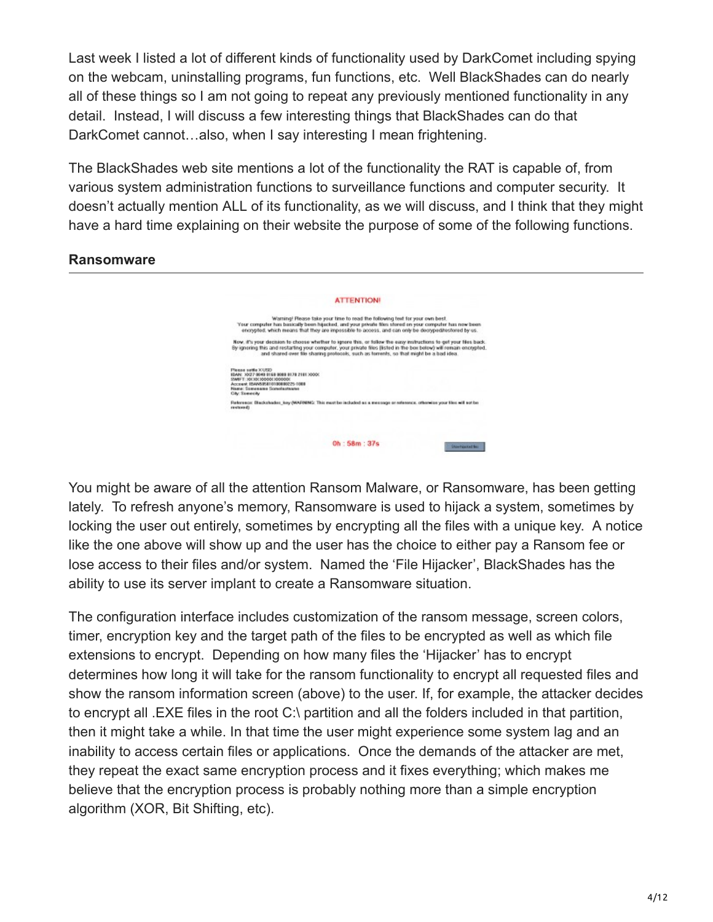Last week I listed a lot of different kinds of functionality used by DarkComet including spying on the webcam, uninstalling programs, fun functions, etc. Well BlackShades can do nearly all of these things so I am not going to repeat any previously mentioned functionality in any detail. Instead, I will discuss a few interesting things that BlackShades can do that DarkComet cannot…also, when I say interesting I mean frightening.

The BlackShades web site mentions a lot of the functionality the RAT is capable of, from various system administration functions to surveillance functions and computer security. It doesn't actually mention ALL of its functionality, as we will discuss, and I think that they might have a hard time explaining on their website the purpose of some of the following functions.

# **ATTENTION!** Warning! Please take your time to read the following text for your own best.<br>Your computer has basically been hijacked, unig your private then stond on your computer has now been<br>encrypted. which revars that they are impos Now, it's your decision to choose whether to ignore this, or follow the easy instructions to get your files back<br>By ignering this and restarting your computer, your private files (Istind in the box below) will remain encry Pienes selle XUSD<br>1944: 2027 9040 1168 9080 9178 2181 2000:<br>SWET 120:20:20000:200000:<br>Accest 1944:5581019089225-1088<br>National Sensesse Sensialisation<br>National Sensesse Sensialisation<br>National Sensesse Reference: Blackshades\_key (WARNENC: This must be included as a message or reference, otherwise your files will not be<br>restored) Oh: 58m: 37s  $\label{eq:1}$  - Stortmart for

#### **Ransomware**

You might be aware of all the attention Ransom Malware, or Ransomware, has been getting lately. To refresh anyone's memory, Ransomware is used to hijack a system, sometimes by locking the user out entirely, sometimes by encrypting all the files with a unique key. A notice like the one above will show up and the user has the choice to either pay a Ransom fee or lose access to their files and/or system. Named the 'File Hijacker', BlackShades has the ability to use its server implant to create a Ransomware situation.

The configuration interface includes customization of the ransom message, screen colors, timer, encryption key and the target path of the files to be encrypted as well as which file extensions to encrypt. Depending on how many files the 'Hijacker' has to encrypt determines how long it will take for the ransom functionality to encrypt all requested files and show the ransom information screen (above) to the user. If, for example, the attacker decides to encrypt all .EXE files in the root C:\ partition and all the folders included in that partition, then it might take a while. In that time the user might experience some system lag and an inability to access certain files or applications. Once the demands of the attacker are met, they repeat the exact same encryption process and it fixes everything; which makes me believe that the encryption process is probably nothing more than a simple encryption algorithm (XOR, Bit Shifting, etc).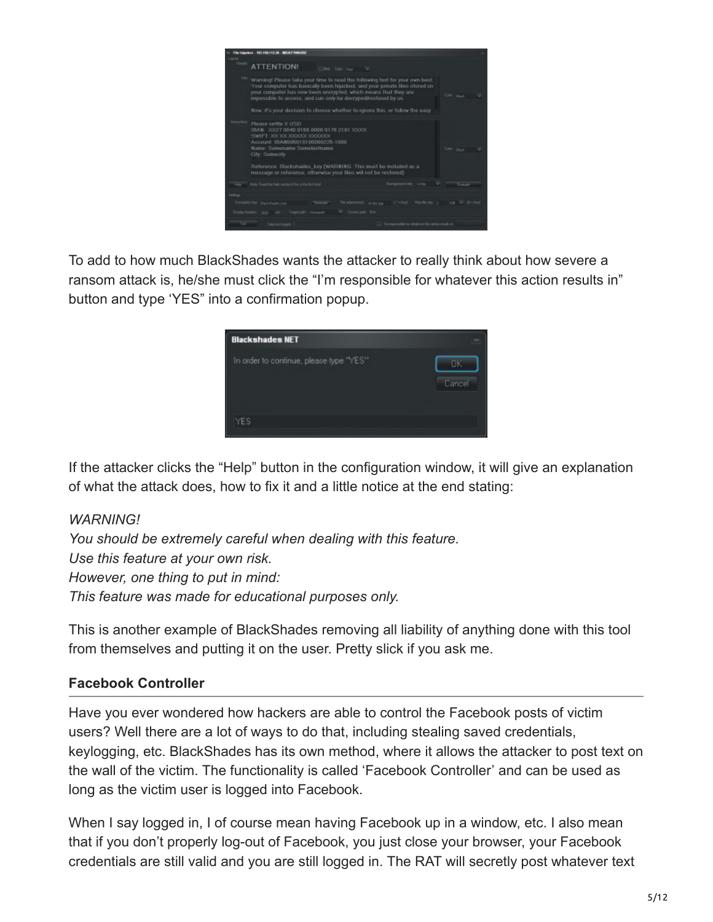

To add to how much BlackShades wants the attacker to really think about how severe a ransom attack is, he/she must click the "I'm responsible for whatever this action results in" button and type 'YES" into a confirmation popup.



If the attacker clicks the "Help" button in the configuration window, it will give an explanation of what the attack does, how to fix it and a little notice at the end stating:

#### *WARNING!*

*You should be extremely careful when dealing with this feature. Use this feature at your own risk. However, one thing to put in mind: This feature was made for educational purposes only.*

This is another example of BlackShades removing all liability of anything done with this tool from themselves and putting it on the user. Pretty slick if you ask me.

#### **Facebook Controller**

Have you ever wondered how hackers are able to control the Facebook posts of victim users? Well there are a lot of ways to do that, including stealing saved credentials, keylogging, etc. BlackShades has its own method, where it allows the attacker to post text on the wall of the victim. The functionality is called 'Facebook Controller' and can be used as long as the victim user is logged into Facebook.

When I say logged in, I of course mean having Facebook up in a window, etc. I also mean that if you don't properly log-out of Facebook, you just close your browser, your Facebook credentials are still valid and you are still logged in. The RAT will secretly post whatever text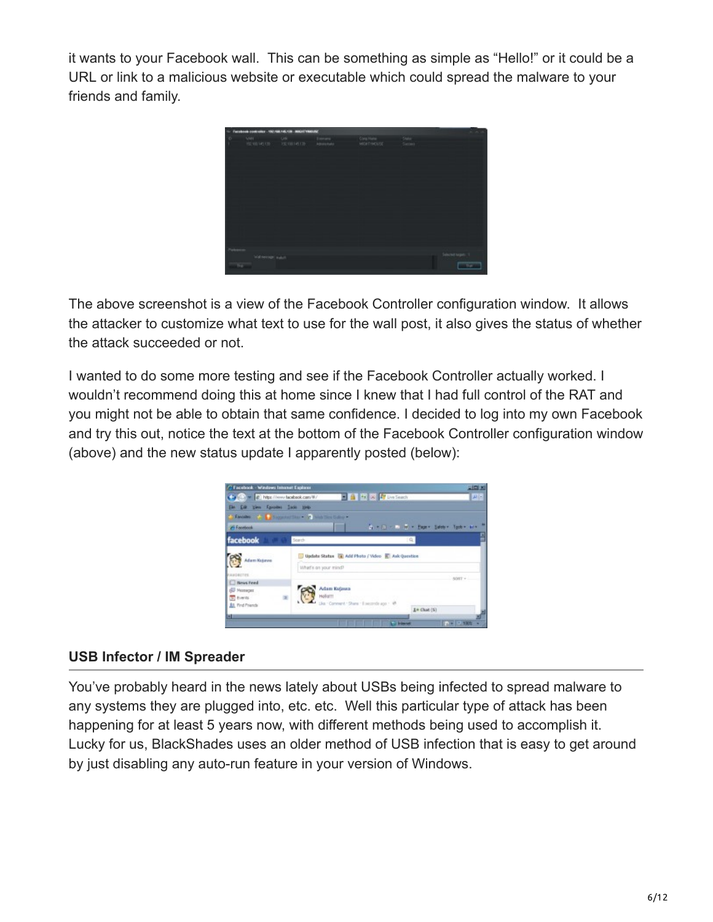it wants to your Facebook wall. This can be something as simple as "Hello!" or it could be a URL or link to a malicious website or executable which could spread the malware to your friends and family.



The above screenshot is a view of the Facebook Controller configuration window. It allows the attacker to customize what text to use for the wall post, it also gives the status of whether the attack succeeded or not.

I wanted to do some more testing and see if the Facebook Controller actually worked. I wouldn't recommend doing this at home since I knew that I had full control of the RAT and you might not be able to obtain that same confidence. I decided to log into my own Facebook and try this out, notice the text at the bottom of the Facebook Controller configuration window (above) and the new status update I apparently posted (below):

| / Facebook - Windows Internet Explorer                                                      |                         |                                                      | 지미지      |  |  |
|---------------------------------------------------------------------------------------------|-------------------------|------------------------------------------------------|----------|--|--|
| Ca (C) = 2 Npc //www.facebook.com/8/                                                        |                         | <b>E &amp; + X P Die Seach</b>                       | $ D  =$  |  |  |
| Ele Esk View Favores Inde Heb-                                                              |                         |                                                      |          |  |  |
|                                                                                             |                         |                                                      |          |  |  |
| 26 Fanetwork                                                                                |                         | 4 + 13 - 1 = + Paper Saleby Today are                |          |  |  |
| facebook                                                                                    | Sparch                  | ٩                                                    |          |  |  |
| Man Kijava                                                                                  |                         | Update Status III Add Photo / Video III Ask Question |          |  |  |
|                                                                                             | What's on your mind?    |                                                      |          |  |  |
| PANGAITEE                                                                                   |                         |                                                      | SORT +   |  |  |
| <b>El Neus Feed</b><br><b>BU Messages</b><br><b>St. Events</b><br><b>All</b> , Find Priends | Adam Kujawa<br>Hollottt | Lks - Comment - Share - Il secondo ago - 48          |          |  |  |
| ы                                                                                           |                         | 1+ Chat (S)                                          |          |  |  |
|                                                                                             |                         | <b>La Internet</b>                                   | P- 0.105 |  |  |

#### **USB Infector / IM Spreader**

You've probably heard in the news lately about USBs being infected to spread malware to any systems they are plugged into, etc. etc. Well this particular type of attack has been happening for at least 5 years now, with different methods being used to accomplish it. Lucky for us, BlackShades uses an older method of USB infection that is easy to get around by just disabling any auto-run feature in your version of Windows.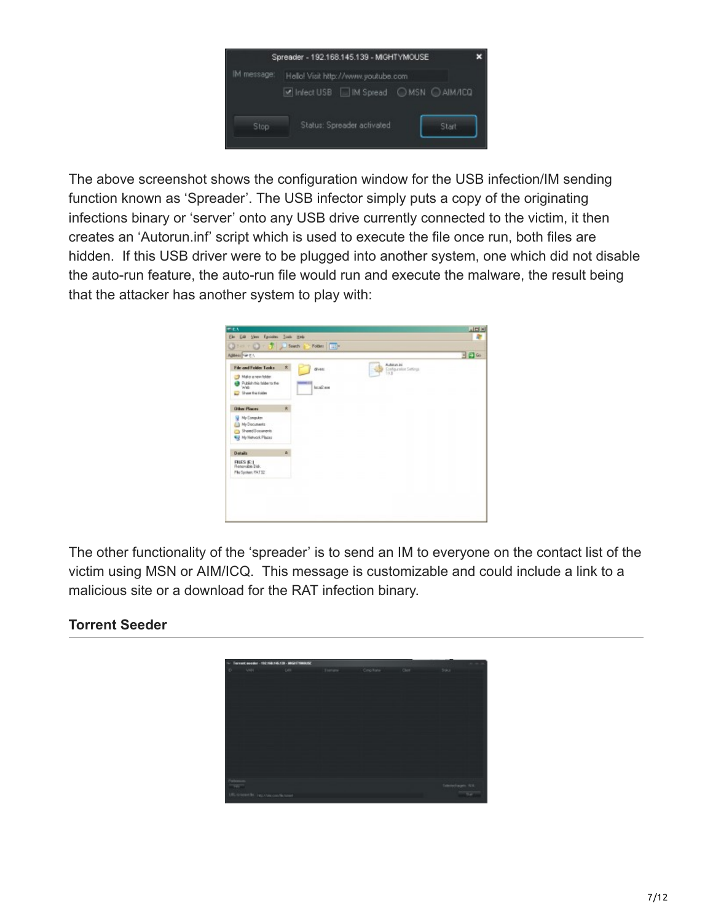

The above screenshot shows the configuration window for the USB infection/IM sending function known as 'Spreader'. The USB infector simply puts a copy of the originating infections binary or 'server' onto any USB drive currently connected to the victim, it then creates an 'Autorun.inf' script which is used to execute the file once run, both files are hidden. If this USB driver were to be plugged into another system, one which did not disable the auto-run feature, the auto-run file would run and execute the malware, the result being that the attacker has another system to play with:



The other functionality of the 'spreader' is to send an IM to everyone on the contact list of the victim using MSN or AIM/ICQ. This message is customizable and could include a link to a malicious site or a download for the RAT infection binary.

# **Torrent Seeder**

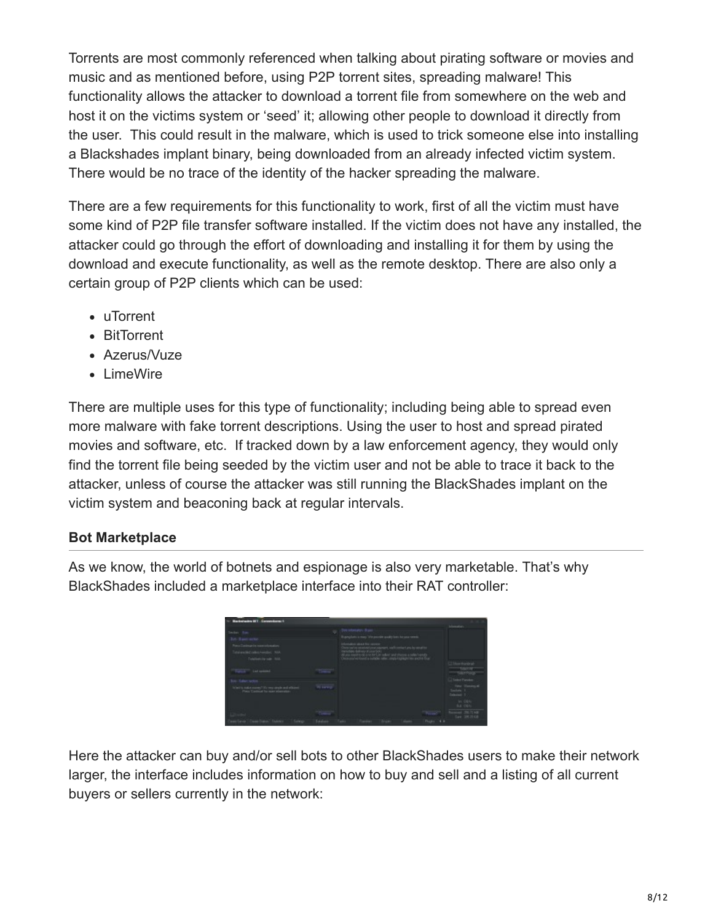Torrents are most commonly referenced when talking about pirating software or movies and music and as mentioned before, using P2P torrent sites, spreading malware! This functionality allows the attacker to download a torrent file from somewhere on the web and host it on the victims system or 'seed' it; allowing other people to download it directly from the user. This could result in the malware, which is used to trick someone else into installing a Blackshades implant binary, being downloaded from an already infected victim system. There would be no trace of the identity of the hacker spreading the malware.

There are a few requirements for this functionality to work, first of all the victim must have some kind of P2P file transfer software installed. If the victim does not have any installed, the attacker could go through the effort of downloading and installing it for them by using the download and execute functionality, as well as the remote desktop. There are also only a certain group of P2P clients which can be used:

- uTorrent
- BitTorrent
- Azerus/Vuze
- LimeWire

There are multiple uses for this type of functionality; including being able to spread even more malware with fake torrent descriptions. Using the user to host and spread pirated movies and software, etc. If tracked down by a law enforcement agency, they would only find the torrent file being seeded by the victim user and not be able to trace it back to the attacker, unless of course the attacker was still running the BlackShades implant on the victim system and beaconing back at regular intervals.

#### **Bot Marketplace**

As we know, the world of botnets and espionage is also very marketable. That's why BlackShades included a marketplace interface into their RAT controller:

|                                                                                                                                          |         |                                                                                                  |                                                     |                           | <b>Senator</b>                                                                                |
|------------------------------------------------------------------------------------------------------------------------------------------|---------|--------------------------------------------------------------------------------------------------|-----------------------------------------------------|---------------------------|-----------------------------------------------------------------------------------------------|
| der Bay<br>Le. Base serve<br>to Dardmar in non-solomation<br>Total and industrial constant . Add-                                        |         | Buyerglam is may. We possible quality lasts for your needs.<br><b><i>Committee Committee</i></b> | of this is to be the sales and those a televisional | adhoestart and hy amal bo |                                                                                               |
| Toldericky sale: AGL<br>Turner" Let quickel.                                                                                             |         |                                                                                                  |                                                     |                           | <b>TOWN</b><br><b>CONTRACT</b>                                                                |
| a Aducture<br>To be if the real of a context of the component problem of a filter context. The country is context and an internal lines. | Winner. |                                                                                                  |                                                     |                           | C Todes Parallel<br><b>Time: Shevera 40</b>                                                   |
|                                                                                                                                          |         |                                                                                                  |                                                     |                           | $\frac{t_{\rm m} t_{\rm m}}{t_{\rm m} t_{\rm m} t_{\rm m}}$<br><b>The Contract</b><br>But Oil |
|                                                                                                                                          |         |                                                                                                  |                                                     |                           | <b>CONTRACTOR</b><br>Say 38.3108                                                              |

Here the attacker can buy and/or sell bots to other BlackShades users to make their network larger, the interface includes information on how to buy and sell and a listing of all current buyers or sellers currently in the network: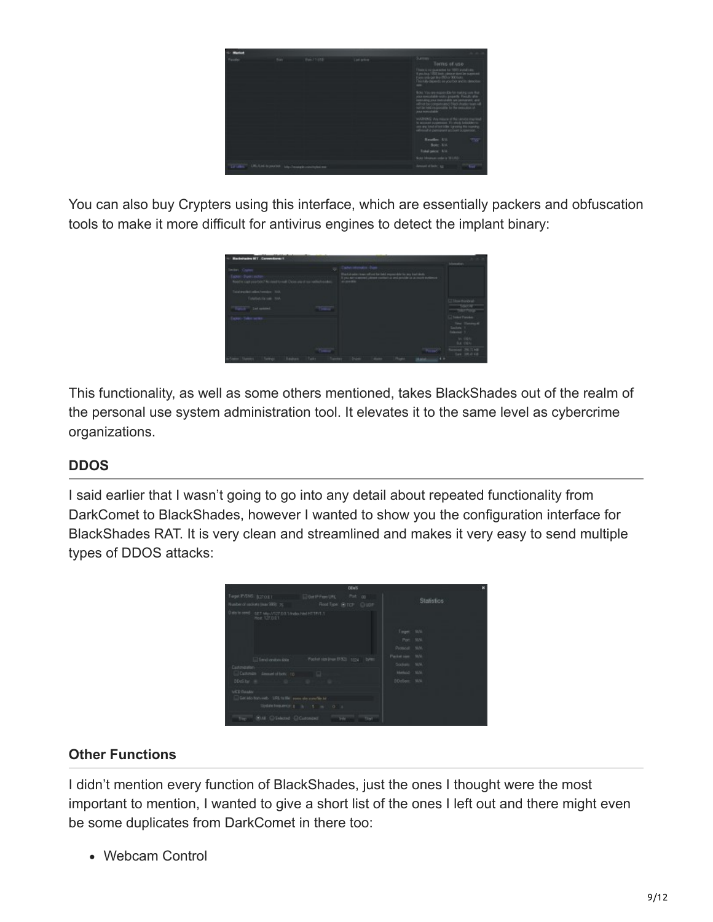|                            | <b>Barry Co</b> | East 71 (7.0) The Contract of The Contract of The Contract of The Contract of | Summe<br>Toms of use<br>Big-200 or 900 bots.<br>Indian you bot and it                                   |
|----------------------------|-----------------|-------------------------------------------------------------------------------|---------------------------------------------------------------------------------------------------------|
|                            |                 |                                                                               | <b>TSP</b><br><b>Resolve: U.U.</b><br>Bole: A.M.<br>Total pairw. A.U.<br>Soler Mousum color is '50 LRD. |
| Lif offer 1.00 Led to much |                 | http://modgle.com/mind.ex                                                     | Denved of Bale: Age                                                                                     |

You can also buy Crypters using this interface, which are essentially packers and obfuscation tools to make it more difficult for antivirus engines to detect the implant binary:



This functionality, as well as some others mentioned, takes BlackShades out of the realm of the personal use system administration tool. It elevates it to the same level as cybercrime organizations.

# **DDOS**

I said earlier that I wasn't going to go into any detail about repeated functionality from DarkComet to BlackShades, however I wanted to show you the configuration interface for BlackShades RAT. It is very clean and streamlined and makes it very easy to send multiple types of DDOS attacks:

| DDwS                                                                                                                                           |                                                                                 | ×                 |
|------------------------------------------------------------------------------------------------------------------------------------------------|---------------------------------------------------------------------------------|-------------------|
| Number of seconds trees 1993 25<br>Flood Type: 19 TCP CLUDP<br>Deteils cond - SET Mp//027.03.1/indexhiel HTTP/1.1<br><b>Hoat 127.00.1</b>      |                                                                                 | <b>Statistics</b> |
| Packet rice lines 07.521 1224 bytest<br>Simil venture date<br>Customaster                                                                      | Targett, Milk<br>Port MAL<br>Protocol: N/A<br>Packet neer. M/A<br>Sockett: N.W. |                   |
| Castovan demonstration: 10 10<br>DDuSby. in                                                                                                    | Meled MA<br>DDoller: MAL                                                        |                   |
| <b>WEE Reader</b><br>Get ido han reds UPL to the sum she convite to<br>Update Features   N 1 5 1 0 1<br>THE - BLAIL CLEARANT CLEARANT<br>Tist. |                                                                                 |                   |

# **Other Functions**

I didn't mention every function of BlackShades, just the ones I thought were the most important to mention, I wanted to give a short list of the ones I left out and there might even be some duplicates from DarkComet in there too:

Webcam Control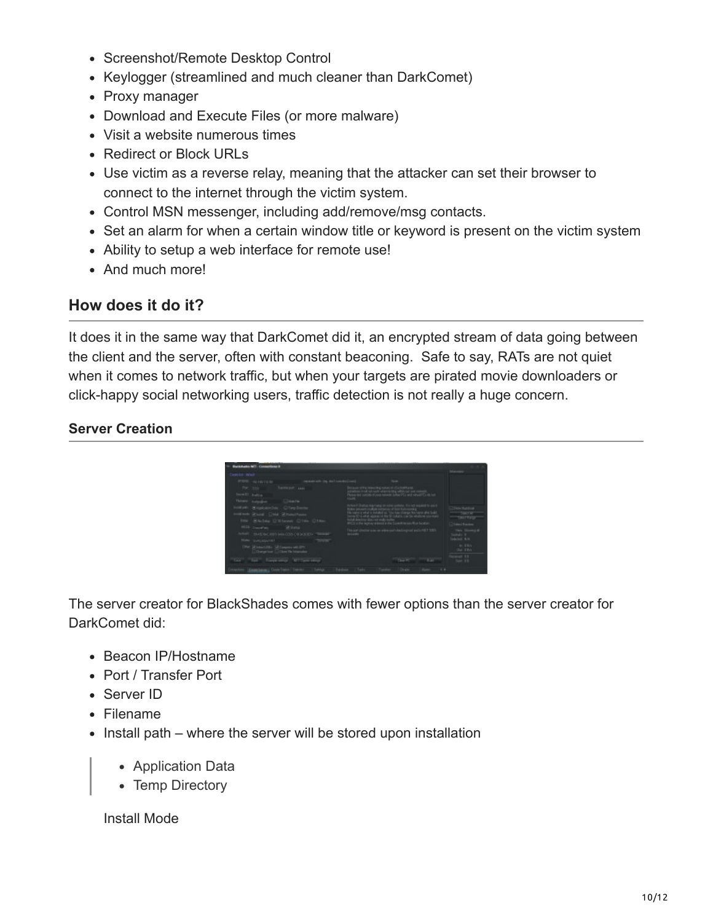- Screenshot/Remote Desktop Control
- Keylogger (streamlined and much cleaner than DarkComet)
- Proxy manager
- Download and Execute Files (or more malware)
- Visit a website numerous times
- Redirect or Block URLs
- Use victim as a reverse relay, meaning that the attacker can set their browser to connect to the internet through the victim system.
- Control MSN messenger, including add/remove/msg contacts.
- Set an alarm for when a certain window title or keyword is present on the victim system
- Ability to setup a web interface for remote use!
- And much more!

# **How does it do it?**

It does it in the same way that DarkComet did it, an encrypted stream of data going between the client and the server, often with constant beaconing. Safe to say, RATs are not quiet when it comes to network traffic, but when your targets are pirated movie downloaders or click-happy social networking users, traffic detection is not really a huge concern.

#### **Server Creation**



The server creator for BlackShades comes with fewer options than the server creator for DarkComet did:

- Beacon IP/Hostname
- Port / Transfer Port
- Server ID
- Filename
- Install path where the server will be stored upon installation
	- Application Data
	- Temp Directory

Install Mode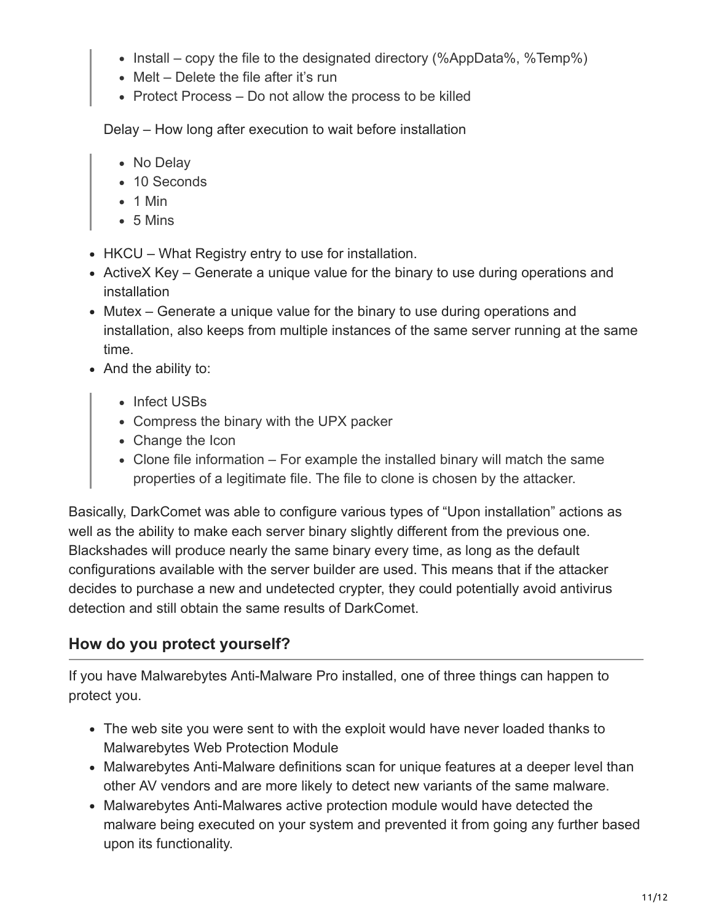- Install copy the file to the designated directory (%AppData%, %Temp%)
- Melt Delete the file after it's run
- Protect Process Do not allow the process to be killed

Delay – How long after execution to wait before installation

- No Delay
- 10 Seconds
- $\bullet$  1 Min
- $-5$  Mins
- HKCU What Registry entry to use for installation.
- ActiveX Key Generate a unique value for the binary to use during operations and installation
- Mutex Generate a unique value for the binary to use during operations and installation, also keeps from multiple instances of the same server running at the same time.
- And the ability to:
	- Infect USBs
	- Compress the binary with the UPX packer
	- Change the Icon
	- Clone file information For example the installed binary will match the same properties of a legitimate file. The file to clone is chosen by the attacker.

Basically, DarkComet was able to configure various types of "Upon installation" actions as well as the ability to make each server binary slightly different from the previous one. Blackshades will produce nearly the same binary every time, as long as the default configurations available with the server builder are used. This means that if the attacker decides to purchase a new and undetected crypter, they could potentially avoid antivirus detection and still obtain the same results of DarkComet.

# **How do you protect yourself?**

If you have Malwarebytes Anti-Malware Pro installed, one of three things can happen to protect you.

- The web site you were sent to with the exploit would have never loaded thanks to Malwarebytes Web Protection Module
- Malwarebytes Anti-Malware definitions scan for unique features at a deeper level than other AV vendors and are more likely to detect new variants of the same malware.
- Malwarebytes Anti-Malwares active protection module would have detected the malware being executed on your system and prevented it from going any further based upon its functionality.